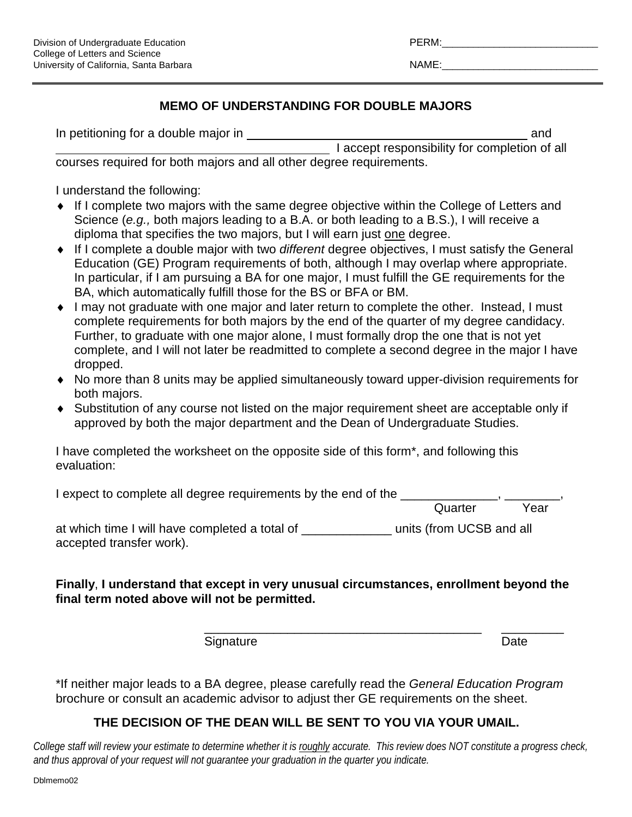| RM:<br>- 1 |  |
|------------|--|
|            |  |

## **MEMO OF UNDERSTANDING FOR DOUBLE MAJORS**

| In petitioning for a double major in                                |                                               | and |
|---------------------------------------------------------------------|-----------------------------------------------|-----|
|                                                                     | I accept responsibility for completion of all |     |
| courses required for both majors and all other degree requirements. |                                               |     |

I understand the following:

- ♦ If I complete two majors with the same degree objective within the College of Letters and Science (*e.g.,* both majors leading to a B.A. or both leading to a B.S.), I will receive a diploma that specifies the two majors, but I will earn just one degree.
- ♦ If I complete a double major with two *different* degree objectives, I must satisfy the General Education (GE) Program requirements of both, although I may overlap where appropriate. In particular, if I am pursuing a BA for one major, I must fulfill the GE requirements for the BA, which automatically fulfill those for the BS or BFA or BM.
- ♦ I may not graduate with one major and later return to complete the other. Instead, I must complete requirements for both majors by the end of the quarter of my degree candidacy. Further, to graduate with one major alone, I must formally drop the one that is not yet complete, and I will not later be readmitted to complete a second degree in the major I have dropped.
- ♦ No more than 8 units may be applied simultaneously toward upper-division requirements for both majors.
- ♦ Substitution of any course not listed on the major requirement sheet are acceptable only if approved by both the major department and the Dean of Undergraduate Studies.

I have completed the worksheet on the opposite side of this form\*, and following this evaluation:

| I expect to complete all degree requirements by the end of the |         |      |
|----------------------------------------------------------------|---------|------|
|                                                                | Quarter | Year |

at which time I will have completed a total of \_\_\_\_\_\_\_\_\_\_\_\_\_\_\_\_ units (from UCSB and all accepted transfer work).

## **Finally**, **I understand that except in very unusual circumstances, enrollment beyond the final term noted above will not be permitted.**

Signature Date Date

\_\_\_\_\_\_\_\_\_\_\_\_\_\_\_\_\_\_\_\_\_\_\_\_\_\_\_\_\_\_\_\_\_\_\_\_\_\_\_\_ \_\_\_\_\_\_\_\_\_

\*If neither major leads to a BA degree, please carefully read the *General Education Program* brochure or consult an academic advisor to adjust ther GE requirements on the sheet.

## **THE DECISION OF THE DEAN WILL BE SENT TO YOU VIA YOUR UMAIL.**

*College staff will review your estimate to determine whether it is roughly accurate. This review does NOT constitute a progress check, and thus approval of your request will not guarantee your graduation in the quarter you indicate.*

Dblmemo02